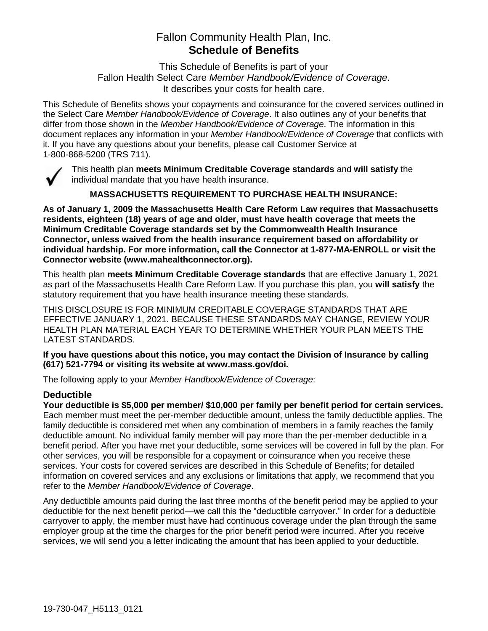## Fallon Community Health Plan, Inc. **Schedule of Benefits**

This Schedule of Benefits is part of your Fallon Health Select Care *Member Handbook/Evidence of Coverage*. It describes your costs for health care.

This Schedule of Benefits shows your copayments and coinsurance for the covered services outlined in the Select Care *Member Handbook/Evidence of Coverage*. It also outlines any of your benefits that differ from those shown in the *Member Handbook/Evidence of Coverage*. The information in this document replaces any information in your *Member Handbook/Evidence of Coverage* that conflicts with it. If you have any questions about your benefits, please call Customer Service at 1-800-868-5200 (TRS 711).



This health plan **meets Minimum Creditable Coverage standards** and **will satisfy** the individual mandate that you have health insurance.

**MASSACHUSETTS REQUIREMENT TO PURCHASE HEALTH INSURANCE:**

**As of January 1, 2009 the Massachusetts Health Care Reform Law requires that Massachusetts residents, eighteen (18) years of age and older, must have health coverage that meets the Minimum Creditable Coverage standards set by the Commonwealth Health Insurance Connector, unless waived from the health insurance requirement based on affordability or individual hardship. For more information, call the Connector at 1-877-MA-ENROLL or visit the Connector website (www.mahealthconnector.org).**

This health plan **meets Minimum Creditable Coverage standards** that are effective January 1, 2021 as part of the Massachusetts Health Care Reform Law. If you purchase this plan, you **will satisfy** the statutory requirement that you have health insurance meeting these standards.

THIS DISCLOSURE IS FOR MINIMUM CREDITABLE COVERAGE STANDARDS THAT ARE EFFECTIVE JANUARY 1, 2021. BECAUSE THESE STANDARDS MAY CHANGE, REVIEW YOUR HEALTH PLAN MATERIAL EACH YEAR TO DETERMINE WHETHER YOUR PLAN MEETS THE LATEST STANDARDS.

**If you have questions about this notice, you may contact the Division of Insurance by calling (617) 521-7794 or visiting its website at www.mass.gov/doi.** 

The following apply to your *Member Handbook/Evidence of Coverage*:

#### **Deductible**

**Your deductible is \$5,000 per member/ \$10,000 per family per benefit period for certain services.** Each member must meet the per-member deductible amount, unless the family deductible applies. The family deductible is considered met when any combination of members in a family reaches the family deductible amount. No individual family member will pay more than the per-member deductible in a benefit period. After you have met your deductible, some services will be covered in full by the plan. For other services, you will be responsible for a copayment or coinsurance when you receive these services. Your costs for covered services are described in this Schedule of Benefits; for detailed information on covered services and any exclusions or limitations that apply, we recommend that you refer to the *Member Handbook/Evidence of Coverage*.

Any deductible amounts paid during the last three months of the benefit period may be applied to your deductible for the next benefit period—we call this the "deductible carryover." In order for a deductible carryover to apply, the member must have had continuous coverage under the plan through the same employer group at the time the charges for the prior benefit period were incurred. After you receive services, we will send you a letter indicating the amount that has been applied to your deductible.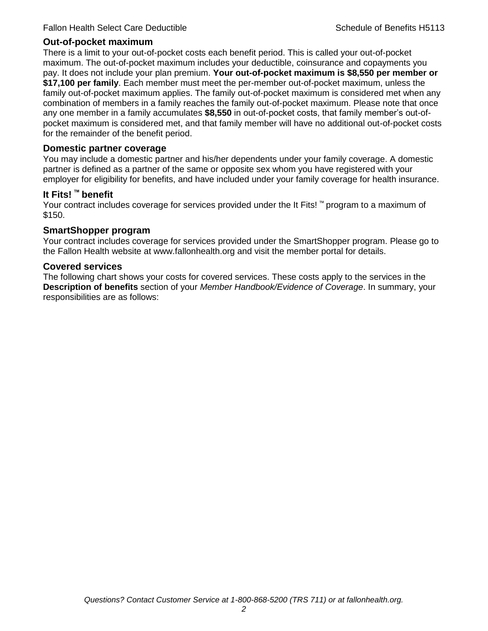#### **Out-of-pocket maximum**

There is a limit to your out-of-pocket costs each benefit period. This is called your out-of-pocket maximum. The out-of-pocket maximum includes your deductible, coinsurance and copayments you pay. It does not include your plan premium. **Your out-of-pocket maximum is \$8,550 per member or \$17,100 per family**. Each member must meet the per-member out-of-pocket maximum, unless the family out-of-pocket maximum applies. The family out-of-pocket maximum is considered met when any combination of members in a family reaches the family out-of-pocket maximum. Please note that once any one member in a family accumulates **\$8,550** in out-of-pocket costs, that family member's out-ofpocket maximum is considered met, and that family member will have no additional out-of-pocket costs for the remainder of the benefit period.

#### **Domestic partner coverage**

You may include a domestic partner and his/her dependents under your family coverage. A domestic partner is defined as a partner of the same or opposite sex whom you have registered with your employer for eligibility for benefits, and have included under your family coverage for health insurance.

#### **It Fits! ™ benefit**

Your contract includes coverage for services provided under the It Fits! ™ program to a maximum of \$150.

#### **SmartShopper program**

Your contract includes coverage for services provided under the SmartShopper program. Please go to the Fallon Health website at www.fallonhealth.org and visit the member portal for details.

#### **Covered services**

The following chart shows your costs for covered services. These costs apply to the services in the **Description of benefits** section of your *Member Handbook/Evidence of Coverage*. In summary, your responsibilities are as follows: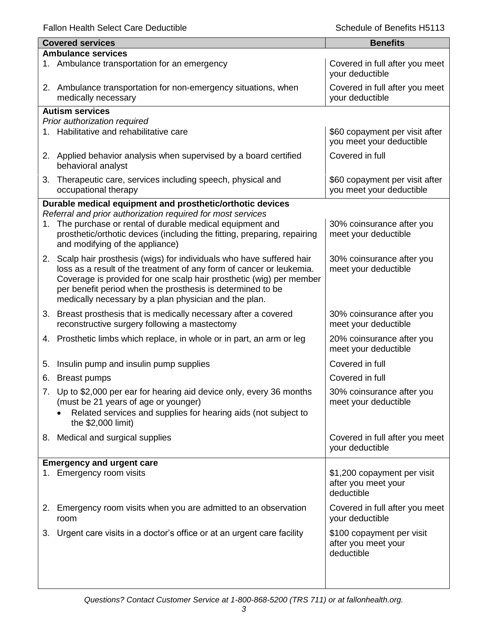|    | <b>Covered services</b>                                                                                                                                                                                                                                            | <b>Benefits</b>                                                  |  |  |  |
|----|--------------------------------------------------------------------------------------------------------------------------------------------------------------------------------------------------------------------------------------------------------------------|------------------------------------------------------------------|--|--|--|
|    | <b>Ambulance services</b>                                                                                                                                                                                                                                          |                                                                  |  |  |  |
|    | 1. Ambulance transportation for an emergency                                                                                                                                                                                                                       | Covered in full after you meet<br>your deductible                |  |  |  |
|    | 2. Ambulance transportation for non-emergency situations, when<br>medically necessary                                                                                                                                                                              | Covered in full after you meet<br>your deductible                |  |  |  |
|    | <b>Autism services</b>                                                                                                                                                                                                                                             |                                                                  |  |  |  |
|    | Prior authorization required                                                                                                                                                                                                                                       |                                                                  |  |  |  |
|    | 1. Habilitative and rehabilitative care                                                                                                                                                                                                                            | \$60 copayment per visit after<br>you meet your deductible       |  |  |  |
|    | 2. Applied behavior analysis when supervised by a board certified<br>behavioral analyst                                                                                                                                                                            | Covered in full                                                  |  |  |  |
|    | 3. Therapeutic care, services including speech, physical and<br>occupational therapy                                                                                                                                                                               | \$60 copayment per visit after<br>you meet your deductible       |  |  |  |
|    | Durable medical equipment and prosthetic/orthotic devices                                                                                                                                                                                                          |                                                                  |  |  |  |
|    | Referral and prior authorization required for most services                                                                                                                                                                                                        |                                                                  |  |  |  |
|    | 1. The purchase or rental of durable medical equipment and<br>prosthetic/orthotic devices (including the fitting, preparing, repairing<br>and modifying of the appliance)                                                                                          | 30% coinsurance after you<br>meet your deductible                |  |  |  |
|    | 2. Scalp hair prosthesis (wigs) for individuals who have suffered hair                                                                                                                                                                                             | 30% coinsurance after you                                        |  |  |  |
|    | loss as a result of the treatment of any form of cancer or leukemia.<br>Coverage is provided for one scalp hair prosthetic (wig) per member<br>per benefit period when the prosthesis is determined to be<br>medically necessary by a plan physician and the plan. | meet your deductible                                             |  |  |  |
| 3. | Breast prosthesis that is medically necessary after a covered                                                                                                                                                                                                      | 30% coinsurance after you                                        |  |  |  |
|    | reconstructive surgery following a mastectomy                                                                                                                                                                                                                      | meet your deductible                                             |  |  |  |
|    | 4. Prosthetic limbs which replace, in whole or in part, an arm or leg                                                                                                                                                                                              | 20% coinsurance after you<br>meet your deductible                |  |  |  |
| 5. | Insulin pump and insulin pump supplies                                                                                                                                                                                                                             | Covered in full                                                  |  |  |  |
| 6. | Breast pumps                                                                                                                                                                                                                                                       | Covered in full                                                  |  |  |  |
|    | 7. Up to \$2,000 per ear for hearing aid device only, every 36 months<br>(must be 21 years of age or younger)<br>Related services and supplies for hearing aids (not subject to<br>the \$2,000 limit)                                                              | 30% coinsurance after you<br>meet your deductible                |  |  |  |
|    | 8. Medical and surgical supplies                                                                                                                                                                                                                                   | Covered in full after you meet<br>your deductible                |  |  |  |
|    | <b>Emergency and urgent care</b>                                                                                                                                                                                                                                   |                                                                  |  |  |  |
|    | 1. Emergency room visits                                                                                                                                                                                                                                           | \$1,200 copayment per visit<br>after you meet your<br>deductible |  |  |  |
|    | 2. Emergency room visits when you are admitted to an observation<br>room                                                                                                                                                                                           | Covered in full after you meet<br>your deductible                |  |  |  |
| 3. | Urgent care visits in a doctor's office or at an urgent care facility                                                                                                                                                                                              | \$100 copayment per visit<br>after you meet your<br>deductible   |  |  |  |
|    |                                                                                                                                                                                                                                                                    |                                                                  |  |  |  |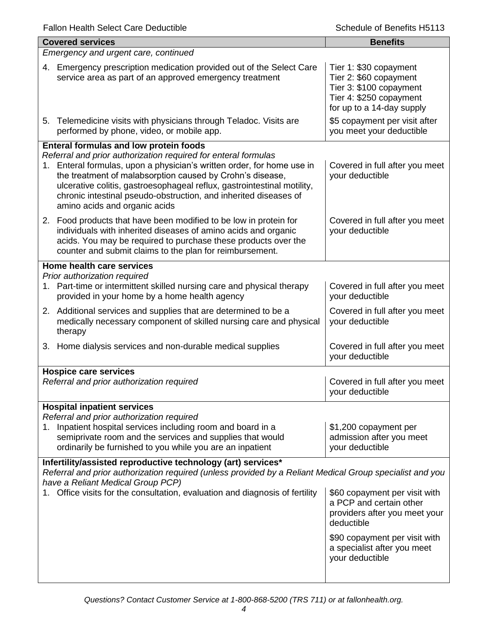| <b>Covered services</b>                                                                                                                                                                                                                                                                                                                                                               | <b>Benefits</b>                                                                                                                     |  |
|---------------------------------------------------------------------------------------------------------------------------------------------------------------------------------------------------------------------------------------------------------------------------------------------------------------------------------------------------------------------------------------|-------------------------------------------------------------------------------------------------------------------------------------|--|
| Emergency and urgent care, continued                                                                                                                                                                                                                                                                                                                                                  |                                                                                                                                     |  |
| Emergency prescription medication provided out of the Select Care<br>4.<br>service area as part of an approved emergency treatment                                                                                                                                                                                                                                                    | Tier 1: \$30 copayment<br>Tier 2: \$60 copayment<br>Tier 3: \$100 copayment<br>Tier 4: \$250 copayment<br>for up to a 14-day supply |  |
| 5. Telemedicine visits with physicians through Teladoc. Visits are<br>performed by phone, video, or mobile app.                                                                                                                                                                                                                                                                       | \$5 copayment per visit after<br>you meet your deductible                                                                           |  |
| Enteral formulas and low protein foods                                                                                                                                                                                                                                                                                                                                                |                                                                                                                                     |  |
| Referral and prior authorization required for enteral formulas<br>1. Enteral formulas, upon a physician's written order, for home use in<br>the treatment of malabsorption caused by Crohn's disease,<br>ulcerative colitis, gastroesophageal reflux, gastrointestinal motility,<br>chronic intestinal pseudo-obstruction, and inherited diseases of<br>amino acids and organic acids | Covered in full after you meet<br>your deductible                                                                                   |  |
| 2. Food products that have been modified to be low in protein for<br>individuals with inherited diseases of amino acids and organic<br>acids. You may be required to purchase these products over the<br>counter and submit claims to the plan for reimbursement.                                                                                                                     | Covered in full after you meet<br>your deductible                                                                                   |  |
| Home health care services                                                                                                                                                                                                                                                                                                                                                             |                                                                                                                                     |  |
| Prior authorization required<br>Part-time or intermittent skilled nursing care and physical therapy<br>1.<br>provided in your home by a home health agency                                                                                                                                                                                                                            | Covered in full after you meet<br>your deductible                                                                                   |  |
| 2. Additional services and supplies that are determined to be a<br>medically necessary component of skilled nursing care and physical<br>therapy                                                                                                                                                                                                                                      | Covered in full after you meet<br>your deductible                                                                                   |  |
| 3. Home dialysis services and non-durable medical supplies                                                                                                                                                                                                                                                                                                                            | Covered in full after you meet<br>your deductible                                                                                   |  |
| <b>Hospice care services</b>                                                                                                                                                                                                                                                                                                                                                          |                                                                                                                                     |  |
| Referral and prior authorization required                                                                                                                                                                                                                                                                                                                                             | Covered in full after you meet<br>your deductible                                                                                   |  |
| <b>Hospital inpatient services</b><br>Referral and prior authorization required                                                                                                                                                                                                                                                                                                       |                                                                                                                                     |  |
| 1. Inpatient hospital services including room and board in a<br>semiprivate room and the services and supplies that would<br>ordinarily be furnished to you while you are an inpatient                                                                                                                                                                                                | \$1,200 copayment per<br>admission after you meet<br>your deductible                                                                |  |
| Infertility/assisted reproductive technology (art) services*                                                                                                                                                                                                                                                                                                                          |                                                                                                                                     |  |
| Referral and prior authorization required (unless provided by a Reliant Medical Group specialist and you<br>have a Reliant Medical Group PCP)                                                                                                                                                                                                                                         |                                                                                                                                     |  |
| 1. Office visits for the consultation, evaluation and diagnosis of fertility                                                                                                                                                                                                                                                                                                          | \$60 copayment per visit with<br>a PCP and certain other<br>providers after you meet your<br>deductible                             |  |
|                                                                                                                                                                                                                                                                                                                                                                                       | \$90 copayment per visit with<br>a specialist after you meet<br>your deductible                                                     |  |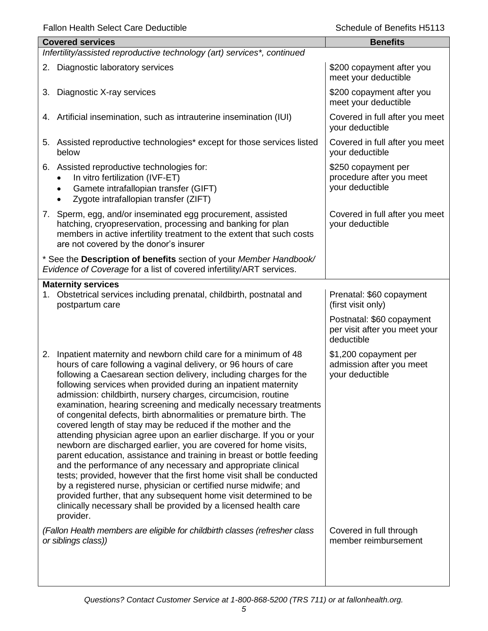|    | <b>Covered services</b>                                                                                                                                                                                                                                                                                                                                                                                                                                                                                                                                                                                                                                                                                                                                                                                                                                                                                                                                                                                                                                                                                                                     | <b>Benefits</b>                                                          |  |  |
|----|---------------------------------------------------------------------------------------------------------------------------------------------------------------------------------------------------------------------------------------------------------------------------------------------------------------------------------------------------------------------------------------------------------------------------------------------------------------------------------------------------------------------------------------------------------------------------------------------------------------------------------------------------------------------------------------------------------------------------------------------------------------------------------------------------------------------------------------------------------------------------------------------------------------------------------------------------------------------------------------------------------------------------------------------------------------------------------------------------------------------------------------------|--------------------------------------------------------------------------|--|--|
|    | Infertility/assisted reproductive technology (art) services*, continued                                                                                                                                                                                                                                                                                                                                                                                                                                                                                                                                                                                                                                                                                                                                                                                                                                                                                                                                                                                                                                                                     |                                                                          |  |  |
|    | 2. Diagnostic laboratory services                                                                                                                                                                                                                                                                                                                                                                                                                                                                                                                                                                                                                                                                                                                                                                                                                                                                                                                                                                                                                                                                                                           | \$200 copayment after you<br>meet your deductible                        |  |  |
|    | 3. Diagnostic X-ray services                                                                                                                                                                                                                                                                                                                                                                                                                                                                                                                                                                                                                                                                                                                                                                                                                                                                                                                                                                                                                                                                                                                | \$200 copayment after you<br>meet your deductible                        |  |  |
|    | 4. Artificial insemination, such as intrauterine insemination (IUI)                                                                                                                                                                                                                                                                                                                                                                                                                                                                                                                                                                                                                                                                                                                                                                                                                                                                                                                                                                                                                                                                         | Covered in full after you meet<br>your deductible                        |  |  |
|    | 5. Assisted reproductive technologies* except for those services listed<br>below                                                                                                                                                                                                                                                                                                                                                                                                                                                                                                                                                                                                                                                                                                                                                                                                                                                                                                                                                                                                                                                            | Covered in full after you meet<br>your deductible                        |  |  |
|    | 6. Assisted reproductive technologies for:<br>In vitro fertilization (IVF-ET)<br>Gamete intrafallopian transfer (GIFT)<br>$\bullet$<br>Zygote intrafallopian transfer (ZIFT)                                                                                                                                                                                                                                                                                                                                                                                                                                                                                                                                                                                                                                                                                                                                                                                                                                                                                                                                                                | \$250 copayment per<br>procedure after you meet<br>your deductible       |  |  |
|    | 7. Sperm, egg, and/or inseminated egg procurement, assisted<br>hatching, cryopreservation, processing and banking for plan<br>members in active infertility treatment to the extent that such costs<br>are not covered by the donor's insurer                                                                                                                                                                                                                                                                                                                                                                                                                                                                                                                                                                                                                                                                                                                                                                                                                                                                                               | Covered in full after you meet<br>your deductible                        |  |  |
|    | * See the Description of benefits section of your Member Handbook/<br>Evidence of Coverage for a list of covered infertility/ART services.                                                                                                                                                                                                                                                                                                                                                                                                                                                                                                                                                                                                                                                                                                                                                                                                                                                                                                                                                                                                  |                                                                          |  |  |
|    | <b>Maternity services</b>                                                                                                                                                                                                                                                                                                                                                                                                                                                                                                                                                                                                                                                                                                                                                                                                                                                                                                                                                                                                                                                                                                                   |                                                                          |  |  |
| 1. | Obstetrical services including prenatal, childbirth, postnatal and<br>postpartum care                                                                                                                                                                                                                                                                                                                                                                                                                                                                                                                                                                                                                                                                                                                                                                                                                                                                                                                                                                                                                                                       | Prenatal: \$60 copayment<br>(first visit only)                           |  |  |
|    |                                                                                                                                                                                                                                                                                                                                                                                                                                                                                                                                                                                                                                                                                                                                                                                                                                                                                                                                                                                                                                                                                                                                             | Postnatal: \$60 copayment<br>per visit after you meet your<br>deductible |  |  |
| 2. | Inpatient maternity and newborn child care for a minimum of 48<br>hours of care following a vaginal delivery, or 96 hours of care<br>following a Caesarean section delivery, including charges for the<br>following services when provided during an inpatient maternity<br>admission: childbirth, nursery charges, circumcision, routine<br>examination, hearing screening and medically necessary treatments<br>of congenital defects, birth abnormalities or premature birth. The<br>covered length of stay may be reduced if the mother and the<br>attending physician agree upon an earlier discharge. If you or your<br>newborn are discharged earlier, you are covered for home visits,<br>parent education, assistance and training in breast or bottle feeding<br>and the performance of any necessary and appropriate clinical<br>tests; provided, however that the first home visit shall be conducted<br>by a registered nurse, physician or certified nurse midwife; and<br>provided further, that any subsequent home visit determined to be<br>clinically necessary shall be provided by a licensed health care<br>provider. | \$1,200 copayment per<br>admission after you meet<br>your deductible     |  |  |
|    | (Fallon Health members are eligible for childbirth classes (refresher class<br>or siblings class))                                                                                                                                                                                                                                                                                                                                                                                                                                                                                                                                                                                                                                                                                                                                                                                                                                                                                                                                                                                                                                          | Covered in full through<br>member reimbursement                          |  |  |
|    |                                                                                                                                                                                                                                                                                                                                                                                                                                                                                                                                                                                                                                                                                                                                                                                                                                                                                                                                                                                                                                                                                                                                             |                                                                          |  |  |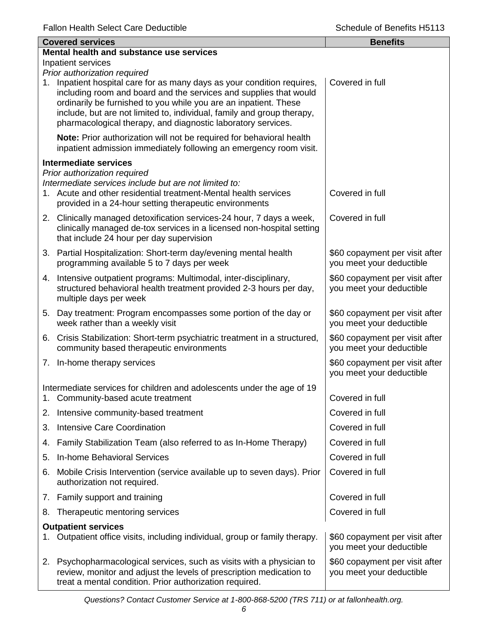| <b>Covered services</b> |                                                                                                                                                                                                                                                                                                                                                                                            | <b>Benefits</b>                                            |  |  |  |
|-------------------------|--------------------------------------------------------------------------------------------------------------------------------------------------------------------------------------------------------------------------------------------------------------------------------------------------------------------------------------------------------------------------------------------|------------------------------------------------------------|--|--|--|
|                         | Mental health and substance use services                                                                                                                                                                                                                                                                                                                                                   |                                                            |  |  |  |
|                         | Inpatient services                                                                                                                                                                                                                                                                                                                                                                         |                                                            |  |  |  |
|                         | Prior authorization required<br>1. Inpatient hospital care for as many days as your condition requires,<br>including room and board and the services and supplies that would<br>ordinarily be furnished to you while you are an inpatient. These<br>include, but are not limited to, individual, family and group therapy,<br>pharmacological therapy, and diagnostic laboratory services. | Covered in full                                            |  |  |  |
|                         | Note: Prior authorization will not be required for behavioral health<br>inpatient admission immediately following an emergency room visit.                                                                                                                                                                                                                                                 |                                                            |  |  |  |
|                         | <b>Intermediate services</b>                                                                                                                                                                                                                                                                                                                                                               |                                                            |  |  |  |
|                         | Prior authorization required<br>Intermediate services include but are not limited to:<br>1. Acute and other residential treatment-Mental health services<br>provided in a 24-hour setting therapeutic environments                                                                                                                                                                         | Covered in full                                            |  |  |  |
|                         | 2. Clinically managed detoxification services-24 hour, 7 days a week,<br>clinically managed de-tox services in a licensed non-hospital setting<br>that include 24 hour per day supervision                                                                                                                                                                                                 | Covered in full                                            |  |  |  |
|                         | 3. Partial Hospitalization: Short-term day/evening mental health<br>programming available 5 to 7 days per week                                                                                                                                                                                                                                                                             | \$60 copayment per visit after<br>you meet your deductible |  |  |  |
|                         | 4. Intensive outpatient programs: Multimodal, inter-disciplinary,<br>structured behavioral health treatment provided 2-3 hours per day,<br>multiple days per week                                                                                                                                                                                                                          | \$60 copayment per visit after<br>you meet your deductible |  |  |  |
|                         | 5. Day treatment: Program encompasses some portion of the day or<br>week rather than a weekly visit                                                                                                                                                                                                                                                                                        | \$60 copayment per visit after<br>you meet your deductible |  |  |  |
|                         | 6. Crisis Stabilization: Short-term psychiatric treatment in a structured,<br>community based therapeutic environments                                                                                                                                                                                                                                                                     | \$60 copayment per visit after<br>you meet your deductible |  |  |  |
|                         | 7. In-home therapy services                                                                                                                                                                                                                                                                                                                                                                | \$60 copayment per visit after<br>you meet your deductible |  |  |  |
| 1.                      | Intermediate services for children and adolescents under the age of 19<br>Community-based acute treatment                                                                                                                                                                                                                                                                                  | Covered in full                                            |  |  |  |
| 2.                      | Intensive community-based treatment                                                                                                                                                                                                                                                                                                                                                        | Covered in full                                            |  |  |  |
| 3.                      | <b>Intensive Care Coordination</b>                                                                                                                                                                                                                                                                                                                                                         | Covered in full                                            |  |  |  |
| 4.                      | Family Stabilization Team (also referred to as In-Home Therapy)                                                                                                                                                                                                                                                                                                                            | Covered in full                                            |  |  |  |
| 5.                      | <b>In-home Behavioral Services</b>                                                                                                                                                                                                                                                                                                                                                         | Covered in full                                            |  |  |  |
| 6.                      | Mobile Crisis Intervention (service available up to seven days). Prior<br>authorization not required.                                                                                                                                                                                                                                                                                      | Covered in full                                            |  |  |  |
|                         | 7. Family support and training                                                                                                                                                                                                                                                                                                                                                             | Covered in full                                            |  |  |  |
| 8.                      | Therapeutic mentoring services                                                                                                                                                                                                                                                                                                                                                             | Covered in full                                            |  |  |  |
|                         | <b>Outpatient services</b>                                                                                                                                                                                                                                                                                                                                                                 |                                                            |  |  |  |
| 1.                      | Outpatient office visits, including individual, group or family therapy.                                                                                                                                                                                                                                                                                                                   | \$60 copayment per visit after<br>you meet your deductible |  |  |  |
|                         | 2. Psychopharmacological services, such as visits with a physician to<br>review, monitor and adjust the levels of prescription medication to<br>treat a mental condition. Prior authorization required.                                                                                                                                                                                    | \$60 copayment per visit after<br>you meet your deductible |  |  |  |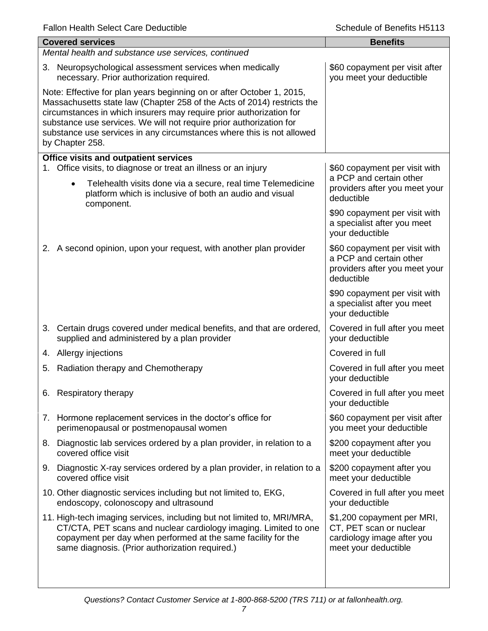| <b>Covered services</b>                                                                                                                                                                                                                                                                                                                                                                    | <b>Benefits</b>                                                                                             |  |  |
|--------------------------------------------------------------------------------------------------------------------------------------------------------------------------------------------------------------------------------------------------------------------------------------------------------------------------------------------------------------------------------------------|-------------------------------------------------------------------------------------------------------------|--|--|
| Mental health and substance use services, continued                                                                                                                                                                                                                                                                                                                                        |                                                                                                             |  |  |
| 3. Neuropsychological assessment services when medically<br>necessary. Prior authorization required.                                                                                                                                                                                                                                                                                       | \$60 copayment per visit after<br>you meet your deductible                                                  |  |  |
| Note: Effective for plan years beginning on or after October 1, 2015,<br>Massachusetts state law (Chapter 258 of the Acts of 2014) restricts the<br>circumstances in which insurers may require prior authorization for<br>substance use services. We will not require prior authorization for<br>substance use services in any circumstances where this is not allowed<br>by Chapter 258. |                                                                                                             |  |  |
| Office visits and outpatient services                                                                                                                                                                                                                                                                                                                                                      |                                                                                                             |  |  |
| 1. Office visits, to diagnose or treat an illness or an injury<br>Telehealth visits done via a secure, real time Telemedicine<br>$\bullet$<br>platform which is inclusive of both an audio and visual<br>component.                                                                                                                                                                        | \$60 copayment per visit with<br>a PCP and certain other<br>providers after you meet your<br>deductible     |  |  |
|                                                                                                                                                                                                                                                                                                                                                                                            | \$90 copayment per visit with<br>a specialist after you meet<br>your deductible                             |  |  |
| 2. A second opinion, upon your request, with another plan provider                                                                                                                                                                                                                                                                                                                         | \$60 copayment per visit with<br>a PCP and certain other<br>providers after you meet your<br>deductible     |  |  |
|                                                                                                                                                                                                                                                                                                                                                                                            | \$90 copayment per visit with<br>a specialist after you meet<br>your deductible                             |  |  |
| 3. Certain drugs covered under medical benefits, and that are ordered,<br>supplied and administered by a plan provider                                                                                                                                                                                                                                                                     | Covered in full after you meet<br>your deductible                                                           |  |  |
| 4. Allergy injections                                                                                                                                                                                                                                                                                                                                                                      | Covered in full                                                                                             |  |  |
| Radiation therapy and Chemotherapy<br>5.                                                                                                                                                                                                                                                                                                                                                   | Covered in full after you meet<br>your deductible                                                           |  |  |
| 6. Respiratory therapy                                                                                                                                                                                                                                                                                                                                                                     | Covered in full after you meet<br>your deductible                                                           |  |  |
| 7. Hormone replacement services in the doctor's office for<br>perimenopausal or postmenopausal women                                                                                                                                                                                                                                                                                       | \$60 copayment per visit after<br>you meet your deductible                                                  |  |  |
| 8. Diagnostic lab services ordered by a plan provider, in relation to a<br>covered office visit                                                                                                                                                                                                                                                                                            | \$200 copayment after you<br>meet your deductible                                                           |  |  |
| 9. Diagnostic X-ray services ordered by a plan provider, in relation to a<br>covered office visit                                                                                                                                                                                                                                                                                          | \$200 copayment after you<br>meet your deductible                                                           |  |  |
| 10. Other diagnostic services including but not limited to, EKG,<br>endoscopy, colonoscopy and ultrasound                                                                                                                                                                                                                                                                                  | Covered in full after you meet<br>your deductible                                                           |  |  |
| 11. High-tech imaging services, including but not limited to, MRI/MRA,<br>CT/CTA, PET scans and nuclear cardiology imaging. Limited to one<br>copayment per day when performed at the same facility for the<br>same diagnosis. (Prior authorization required.)                                                                                                                             | \$1,200 copayment per MRI,<br>CT, PET scan or nuclear<br>cardiology image after you<br>meet your deductible |  |  |
|                                                                                                                                                                                                                                                                                                                                                                                            |                                                                                                             |  |  |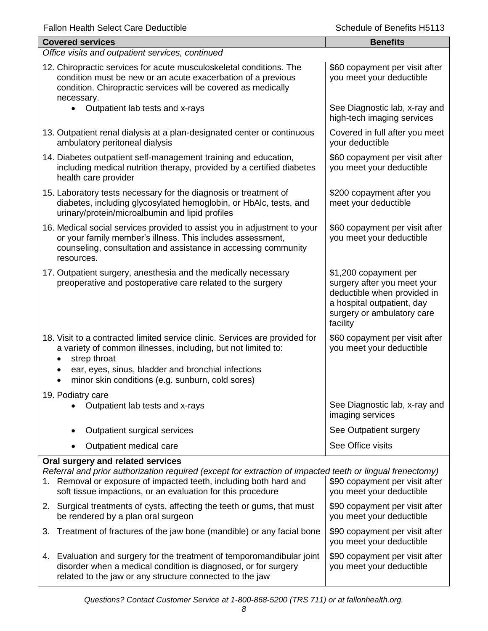| <b>Fallon Health Select Care Deductible</b> |  |  |  |
|---------------------------------------------|--|--|--|
|---------------------------------------------|--|--|--|

| <b>Fallon Health Select Care Deductible</b>                                                                                                                                                                                                                                        | Schedule of Benefits H5113                                                                                                                                  |  |  |  |
|------------------------------------------------------------------------------------------------------------------------------------------------------------------------------------------------------------------------------------------------------------------------------------|-------------------------------------------------------------------------------------------------------------------------------------------------------------|--|--|--|
| <b>Covered services</b>                                                                                                                                                                                                                                                            | <b>Benefits</b>                                                                                                                                             |  |  |  |
| Office visits and outpatient services, continued                                                                                                                                                                                                                                   |                                                                                                                                                             |  |  |  |
| 12. Chiropractic services for acute musculoskeletal conditions. The<br>condition must be new or an acute exacerbation of a previous<br>condition. Chiropractic services will be covered as medically<br>necessary.                                                                 | \$60 copayment per visit after<br>you meet your deductible                                                                                                  |  |  |  |
| $\bullet$<br>Outpatient lab tests and x-rays                                                                                                                                                                                                                                       | See Diagnostic lab, x-ray and<br>high-tech imaging services                                                                                                 |  |  |  |
| 13. Outpatient renal dialysis at a plan-designated center or continuous<br>ambulatory peritoneal dialysis                                                                                                                                                                          | Covered in full after you meet<br>your deductible                                                                                                           |  |  |  |
| 14. Diabetes outpatient self-management training and education,<br>including medical nutrition therapy, provided by a certified diabetes<br>health care provider                                                                                                                   | \$60 copayment per visit after<br>you meet your deductible                                                                                                  |  |  |  |
| 15. Laboratory tests necessary for the diagnosis or treatment of<br>diabetes, including glycosylated hemoglobin, or HbAlc, tests, and<br>urinary/protein/microalbumin and lipid profiles                                                                                           | \$200 copayment after you<br>meet your deductible                                                                                                           |  |  |  |
| 16. Medical social services provided to assist you in adjustment to your<br>or your family member's illness. This includes assessment,<br>counseling, consultation and assistance in accessing community<br>resources.                                                             | \$60 copayment per visit after<br>you meet your deductible                                                                                                  |  |  |  |
| 17. Outpatient surgery, anesthesia and the medically necessary<br>preoperative and postoperative care related to the surgery                                                                                                                                                       | \$1,200 copayment per<br>surgery after you meet your<br>deductible when provided in<br>a hospital outpatient, day<br>surgery or ambulatory care<br>facility |  |  |  |
| 18. Visit to a contracted limited service clinic. Services are provided for<br>a variety of common illnesses, including, but not limited to:<br>strep throat<br>ear, eyes, sinus, bladder and bronchial infections<br>minor skin conditions (e.g. sunburn, cold sores)             | \$60 copayment per visit after<br>you meet your deductible                                                                                                  |  |  |  |
| 19. Podiatry care                                                                                                                                                                                                                                                                  |                                                                                                                                                             |  |  |  |
| Outpatient lab tests and x-rays                                                                                                                                                                                                                                                    | See Diagnostic lab, x-ray and<br>imaging services                                                                                                           |  |  |  |
| Outpatient surgical services                                                                                                                                                                                                                                                       | See Outpatient surgery                                                                                                                                      |  |  |  |
| Outpatient medical care<br>٠                                                                                                                                                                                                                                                       | See Office visits                                                                                                                                           |  |  |  |
| Oral surgery and related services<br>Referral and prior authorization required (except for extraction of impacted teeth or lingual frenectomy)<br>1. Removal or exposure of impacted teeth, including both hard and<br>soft tissue impactions, or an evaluation for this procedure | \$90 copayment per visit after<br>you meet your deductible                                                                                                  |  |  |  |
| 2. Surgical treatments of cysts, affecting the teeth or gums, that must<br>be rendered by a plan oral surgeon                                                                                                                                                                      | \$90 copayment per visit after<br>you meet your deductible                                                                                                  |  |  |  |
| Treatment of fractures of the jaw bone (mandible) or any facial bone<br>3.                                                                                                                                                                                                         | \$90 copayment per visit after<br>you meet your deductible                                                                                                  |  |  |  |
| 4. Evaluation and surgery for the treatment of temporomandibular joint<br>disorder when a medical condition is diagnosed, or for surgery                                                                                                                                           | \$90 copayment per visit after<br>you meet your deductible                                                                                                  |  |  |  |

*Questions? Contact Customer Service at 1-800-868-5200 (TRS 711) or at fallonhealth.org.*

related to the jaw or any structure connected to the jaw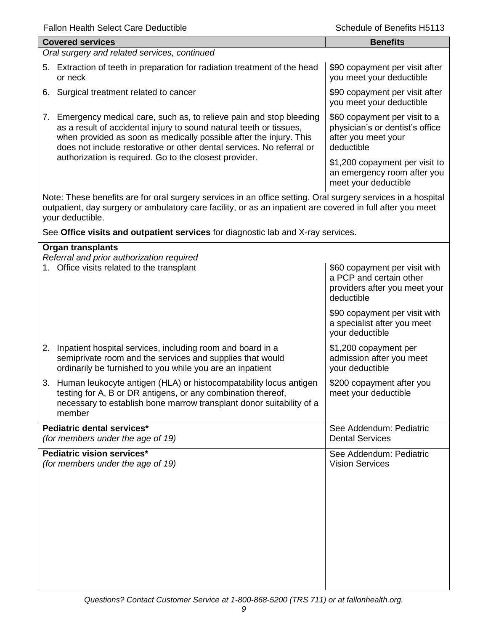| <b>Fallon Health Select Care Deductible</b>                                                                                                                                                                                                                                                 | Schedule of Benefits H5113                                                                              |
|---------------------------------------------------------------------------------------------------------------------------------------------------------------------------------------------------------------------------------------------------------------------------------------------|---------------------------------------------------------------------------------------------------------|
| <b>Covered services</b>                                                                                                                                                                                                                                                                     | <b>Benefits</b>                                                                                         |
| Oral surgery and related services, continued                                                                                                                                                                                                                                                |                                                                                                         |
| 5. Extraction of teeth in preparation for radiation treatment of the head<br>or neck                                                                                                                                                                                                        | \$90 copayment per visit after<br>you meet your deductible                                              |
| 6. Surgical treatment related to cancer                                                                                                                                                                                                                                                     | \$90 copayment per visit after<br>you meet your deductible                                              |
| 7. Emergency medical care, such as, to relieve pain and stop bleeding<br>as a result of accidental injury to sound natural teeth or tissues,<br>when provided as soon as medically possible after the injury. This<br>does not include restorative or other dental services. No referral or | \$60 copayment per visit to a<br>physician's or dentist's office<br>after you meet your<br>deductible   |
| authorization is required. Go to the closest provider.                                                                                                                                                                                                                                      | \$1,200 copayment per visit to<br>an emergency room after you<br>meet your deductible                   |
| Note: These benefits are for oral surgery services in an office setting. Oral surgery services in a hospital<br>outpatient, day surgery or ambulatory care facility, or as an inpatient are covered in full after you meet<br>your deductible.                                              |                                                                                                         |
| See Office visits and outpatient services for diagnostic lab and X-ray services.                                                                                                                                                                                                            |                                                                                                         |
| <b>Organ transplants</b>                                                                                                                                                                                                                                                                    |                                                                                                         |
| Referral and prior authorization required<br>1. Office visits related to the transplant                                                                                                                                                                                                     | \$60 copayment per visit with<br>a PCP and certain other<br>providers after you meet your<br>deductible |
|                                                                                                                                                                                                                                                                                             | \$90 copayment per visit with<br>a specialist after you meet<br>your deductible                         |
| 2. Inpatient hospital services, including room and board in a<br>semiprivate room and the services and supplies that would<br>ordinarily be furnished to you while you are an inpatient                                                                                                     | \$1,200 copayment per<br>admission after you meet<br>your deductible                                    |
| 3. Human leukocyte antigen (HLA) or histocompatability locus antigen<br>testing for A, B or DR antigens, or any combination thereof,<br>necessary to establish bone marrow transplant donor suitability of a<br>member                                                                      | \$200 copayment after you<br>meet your deductible                                                       |
| Pediatric dental services*<br>(for members under the age of 19)                                                                                                                                                                                                                             | See Addendum: Pediatric<br><b>Dental Services</b>                                                       |
| Pediatric vision services*                                                                                                                                                                                                                                                                  | See Addendum: Pediatric                                                                                 |
| (for members under the age of 19)                                                                                                                                                                                                                                                           | <b>Vision Services</b>                                                                                  |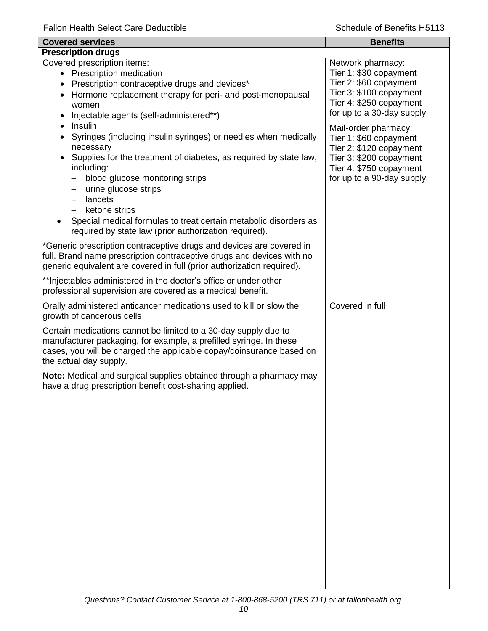| <b>Covered services</b>                                                                                                                                                                                                                                                                                                                                                                                                                                                                                     | <b>Benefits</b>                                                                                                                                              |
|-------------------------------------------------------------------------------------------------------------------------------------------------------------------------------------------------------------------------------------------------------------------------------------------------------------------------------------------------------------------------------------------------------------------------------------------------------------------------------------------------------------|--------------------------------------------------------------------------------------------------------------------------------------------------------------|
| <b>Prescription drugs</b>                                                                                                                                                                                                                                                                                                                                                                                                                                                                                   |                                                                                                                                                              |
| Covered prescription items:<br>• Prescription medication<br>Prescription contraceptive drugs and devices*<br>$\bullet$<br>Hormone replacement therapy for peri- and post-menopausal<br>$\bullet$<br>women<br>Injectable agents (self-administered**)<br>$\bullet$                                                                                                                                                                                                                                           | Network pharmacy:<br>Tier 1: \$30 copayment<br>Tier 2: \$60 copayment<br>Tier 3: \$100 copayment<br>Tier 4: \$250 copayment<br>for up to a 30-day supply     |
| Insulin<br>$\bullet$<br>Syringes (including insulin syringes) or needles when medically<br>$\bullet$<br>necessary<br>Supplies for the treatment of diabetes, as required by state law,<br>$\bullet$<br>including:<br>blood glucose monitoring strips<br>urine glucose strips<br>$\qquad \qquad -$<br>lancets<br>$\qquad \qquad -$<br>ketone strips<br>$\overline{\phantom{0}}$<br>Special medical formulas to treat certain metabolic disorders as<br>required by state law (prior authorization required). | Mail-order pharmacy:<br>Tier 1: \$60 copayment<br>Tier 2: \$120 copayment<br>Tier 3: \$200 copayment<br>Tier 4: \$750 copayment<br>for up to a 90-day supply |
| *Generic prescription contraceptive drugs and devices are covered in<br>full. Brand name prescription contraceptive drugs and devices with no<br>generic equivalent are covered in full (prior authorization required).                                                                                                                                                                                                                                                                                     |                                                                                                                                                              |
| ** Injectables administered in the doctor's office or under other<br>professional supervision are covered as a medical benefit.                                                                                                                                                                                                                                                                                                                                                                             |                                                                                                                                                              |
| Orally administered anticancer medications used to kill or slow the<br>growth of cancerous cells                                                                                                                                                                                                                                                                                                                                                                                                            | Covered in full                                                                                                                                              |
| Certain medications cannot be limited to a 30-day supply due to<br>manufacturer packaging, for example, a prefilled syringe. In these<br>cases, you will be charged the applicable copay/coinsurance based on<br>the actual day supply.                                                                                                                                                                                                                                                                     |                                                                                                                                                              |
| Note: Medical and surgical supplies obtained through a pharmacy may<br>have a drug prescription benefit cost-sharing applied.                                                                                                                                                                                                                                                                                                                                                                               |                                                                                                                                                              |
|                                                                                                                                                                                                                                                                                                                                                                                                                                                                                                             |                                                                                                                                                              |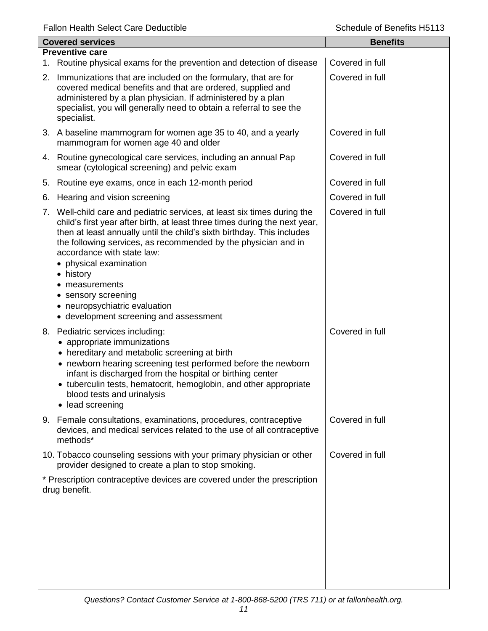| <b>Covered services</b> |                                                                                                                                                                                                                                                                                                                                                                                                                                                                                                      | <b>Benefits</b> |
|-------------------------|------------------------------------------------------------------------------------------------------------------------------------------------------------------------------------------------------------------------------------------------------------------------------------------------------------------------------------------------------------------------------------------------------------------------------------------------------------------------------------------------------|-----------------|
|                         | <b>Preventive care</b><br>1. Routine physical exams for the prevention and detection of disease                                                                                                                                                                                                                                                                                                                                                                                                      | Covered in full |
|                         | 2. Immunizations that are included on the formulary, that are for<br>covered medical benefits and that are ordered, supplied and<br>administered by a plan physician. If administered by a plan<br>specialist, you will generally need to obtain a referral to see the<br>specialist.                                                                                                                                                                                                                | Covered in full |
|                         | 3. A baseline mammogram for women age 35 to 40, and a yearly<br>mammogram for women age 40 and older                                                                                                                                                                                                                                                                                                                                                                                                 | Covered in full |
|                         | 4. Routine gynecological care services, including an annual Pap<br>smear (cytological screening) and pelvic exam                                                                                                                                                                                                                                                                                                                                                                                     | Covered in full |
|                         | 5. Routine eye exams, once in each 12-month period                                                                                                                                                                                                                                                                                                                                                                                                                                                   | Covered in full |
| 6.                      | Hearing and vision screening                                                                                                                                                                                                                                                                                                                                                                                                                                                                         | Covered in full |
|                         | 7. Well-child care and pediatric services, at least six times during the<br>child's first year after birth, at least three times during the next year,<br>then at least annually until the child's sixth birthday. This includes<br>the following services, as recommended by the physician and in<br>accordance with state law:<br>• physical examination<br>• history<br>measurements<br>sensory screening<br>$\bullet$<br>• neuropsychiatric evaluation<br>• development screening and assessment | Covered in full |
|                         | 8. Pediatric services including:<br>• appropriate immunizations<br>hereditary and metabolic screening at birth<br>• newborn hearing screening test performed before the newborn<br>infant is discharged from the hospital or birthing center<br>• tuberculin tests, hematocrit, hemoglobin, and other appropriate<br>blood tests and urinalysis<br>• lead screening                                                                                                                                  | Covered in full |
|                         | 9. Female consultations, examinations, procedures, contraceptive<br>devices, and medical services related to the use of all contraceptive<br>methods*                                                                                                                                                                                                                                                                                                                                                | Covered in full |
|                         | 10. Tobacco counseling sessions with your primary physician or other<br>provider designed to create a plan to stop smoking.                                                                                                                                                                                                                                                                                                                                                                          | Covered in full |
|                         | * Prescription contraceptive devices are covered under the prescription<br>drug benefit.                                                                                                                                                                                                                                                                                                                                                                                                             |                 |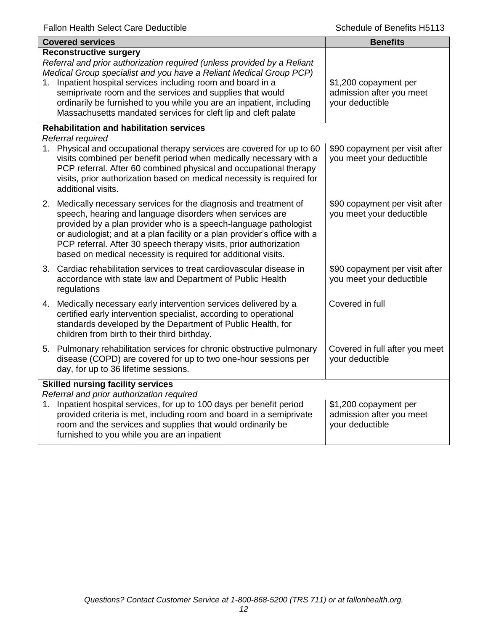| <b>Covered services</b>                                                                                                                                                                                                                                                                                                                                                                                                                               | <b>Benefits</b>                                                      |
|-------------------------------------------------------------------------------------------------------------------------------------------------------------------------------------------------------------------------------------------------------------------------------------------------------------------------------------------------------------------------------------------------------------------------------------------------------|----------------------------------------------------------------------|
| <b>Reconstructive surgery</b><br>Referral and prior authorization required (unless provided by a Reliant<br>Medical Group specialist and you have a Reliant Medical Group PCP)<br>1. Inpatient hospital services including room and board in a<br>semiprivate room and the services and supplies that would<br>ordinarily be furnished to you while you are an inpatient, including<br>Massachusetts mandated services for cleft lip and cleft palate | \$1,200 copayment per<br>admission after you meet<br>your deductible |
| <b>Rehabilitation and habilitation services</b><br>Referral required<br>1. Physical and occupational therapy services are covered for up to 60<br>visits combined per benefit period when medically necessary with a<br>PCP referral. After 60 combined physical and occupational therapy<br>visits, prior authorization based on medical necessity is required for<br>additional visits.                                                             | \$90 copayment per visit after<br>you meet your deductible           |
| 2. Medically necessary services for the diagnosis and treatment of<br>speech, hearing and language disorders when services are<br>provided by a plan provider who is a speech-language pathologist<br>or audiologist; and at a plan facility or a plan provider's office with a<br>PCP referral. After 30 speech therapy visits, prior authorization<br>based on medical necessity is required for additional visits.                                 | \$90 copayment per visit after<br>you meet your deductible           |
| 3. Cardiac rehabilitation services to treat cardiovascular disease in<br>accordance with state law and Department of Public Health<br>regulations                                                                                                                                                                                                                                                                                                     | \$90 copayment per visit after<br>you meet your deductible           |
| 4. Medically necessary early intervention services delivered by a<br>certified early intervention specialist, according to operational<br>standards developed by the Department of Public Health, for<br>children from birth to their third birthday.                                                                                                                                                                                                 | Covered in full                                                      |
| 5. Pulmonary rehabilitation services for chronic obstructive pulmonary<br>disease (COPD) are covered for up to two one-hour sessions per<br>day, for up to 36 lifetime sessions.                                                                                                                                                                                                                                                                      | Covered in full after you meet<br>your deductible                    |
| <b>Skilled nursing facility services</b><br>Referral and prior authorization required<br>1. Inpatient hospital services, for up to 100 days per benefit period<br>provided criteria is met, including room and board in a semiprivate<br>room and the services and supplies that would ordinarily be<br>furnished to you while you are an inpatient                                                                                                   | \$1,200 copayment per<br>admission after you meet<br>your deductible |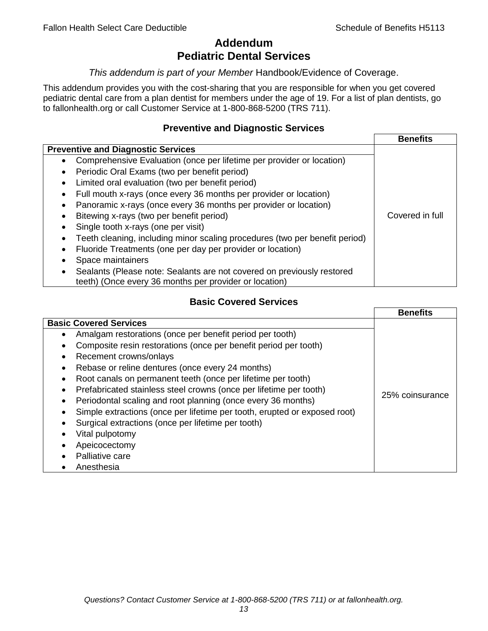## **Addendum Pediatric Dental Services**

#### *This addendum is part of your Member* Handbook/Evidence of Coverage.

This addendum provides you with the cost-sharing that you are responsible for when you get covered pediatric dental care from a plan dentist for members under the age of 19. For a list of plan dentists, go to fallonhealth.org or call Customer Service at 1-800-868-5200 (TRS 711).

#### **Preventive and Diagnostic Services**

|                                                                             | <b>Benefits</b> |
|-----------------------------------------------------------------------------|-----------------|
| <b>Preventive and Diagnostic Services</b>                                   |                 |
| Comprehensive Evaluation (once per lifetime per provider or location)<br>٠  |                 |
| Periodic Oral Exams (two per benefit period)<br>$\bullet$                   |                 |
| Limited oral evaluation (two per benefit period)<br>$\bullet$               |                 |
| Full mouth x-rays (once every 36 months per provider or location)           |                 |
| Panoramic x-rays (once every 36 months per provider or location)            |                 |
| Bitewing x-rays (two per benefit period)<br>٠                               | Covered in full |
| Single tooth x-rays (one per visit)                                         |                 |
| Teeth cleaning, including minor scaling procedures (two per benefit period) |                 |
| Fluoride Treatments (one per day per provider or location)<br>٠             |                 |
| Space maintainers                                                           |                 |
| Sealants (Please note: Sealants are not covered on previously restored      |                 |
| teeth) (Once every 36 months per provider or location)                      |                 |

## **Basic Covered Services**

|                                                                                                                                                                                                                                                                                                                                            | <b>Benefits</b> |
|--------------------------------------------------------------------------------------------------------------------------------------------------------------------------------------------------------------------------------------------------------------------------------------------------------------------------------------------|-----------------|
| <b>Basic Covered Services</b><br>Amalgam restorations (once per benefit period per tooth)<br>Composite resin restorations (once per benefit period per tooth)<br>Recement crowns/onlays<br>Rebase or reline dentures (once every 24 months)<br>Root canals on permanent teeth (once per lifetime per tooth)                                |                 |
| Prefabricated stainless steel crowns (once per lifetime per tooth)<br>Periodontal scaling and root planning (once every 36 months)<br>Simple extractions (once per lifetime per tooth, erupted or exposed root)<br>Surgical extractions (once per lifetime per tooth)<br>Vital pulpotomy<br>Apeicocectomy<br>Palliative care<br>Anesthesia | 25% coinsurance |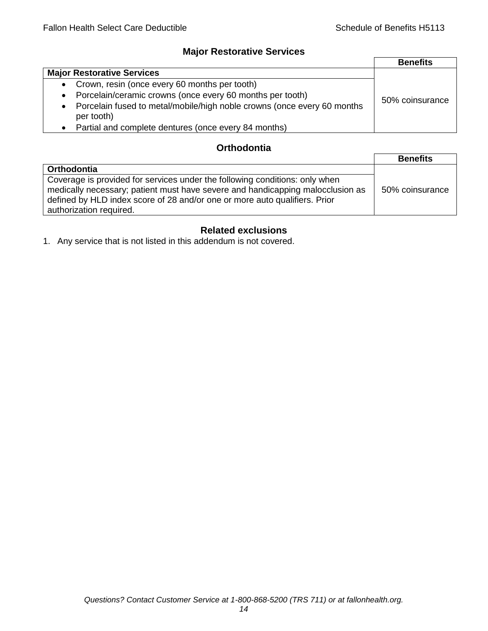## **Major Restorative Services**

|                                                                                                    | <b>Benefits</b> |
|----------------------------------------------------------------------------------------------------|-----------------|
| <b>Major Restorative Services</b>                                                                  |                 |
| • Crown, resin (once every 60 months per tooth)                                                    |                 |
| Porcelain/ceramic crowns (once every 60 months per tooth)<br>$\bullet$                             | 50% coinsurance |
| Porcelain fused to metal/mobile/high noble crowns (once every 60 months<br>$\bullet$<br>per tooth) |                 |
| Partial and complete dentures (once every 84 months)<br>$\bullet$                                  |                 |

## **Orthodontia**

|                                                                                                                                                                                                                                                                        | <b>Benefits</b> |
|------------------------------------------------------------------------------------------------------------------------------------------------------------------------------------------------------------------------------------------------------------------------|-----------------|
| Orthodontia                                                                                                                                                                                                                                                            |                 |
| Coverage is provided for services under the following conditions: only when<br>medically necessary; patient must have severe and handicapping malocclusion as<br>defined by HLD index score of 28 and/or one or more auto qualifiers. Prior<br>authorization required. | 50% coinsurance |

## **Related exclusions**

1. Any service that is not listed in this addendum is not covered.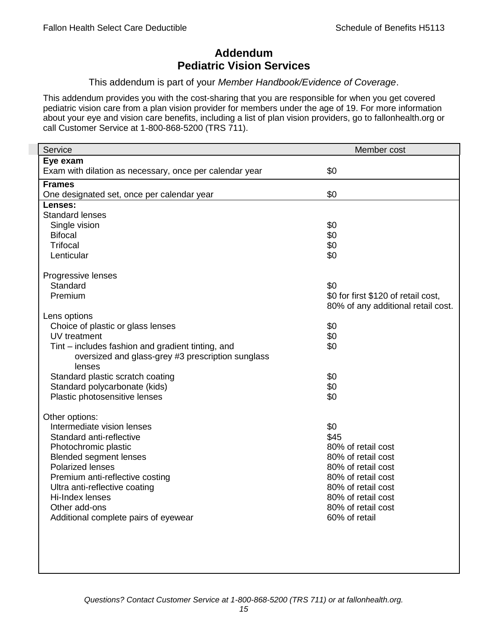## **Addendum Pediatric Vision Services**

#### This addendum is part of your *Member Handbook/Evidence of Coverage*.

This addendum provides you with the cost-sharing that you are responsible for when you get covered pediatric vision care from a plan vision provider for members under the age of 19. For more information about your eye and vision care benefits, including a list of plan vision providers, go to fallonhealth.org or call Customer Service at 1-800-868-5200 (TRS 711).

| Service                                                 | Member cost                         |
|---------------------------------------------------------|-------------------------------------|
| Eye exam                                                |                                     |
| Exam with dilation as necessary, once per calendar year | \$0                                 |
| <b>Frames</b>                                           |                                     |
| One designated set, once per calendar year              | \$0                                 |
| Lenses:                                                 |                                     |
| <b>Standard lenses</b>                                  |                                     |
| Single vision                                           | \$0                                 |
| <b>Bifocal</b>                                          | \$0                                 |
| <b>Trifocal</b>                                         | \$0                                 |
| Lenticular                                              | \$0                                 |
| Progressive lenses                                      |                                     |
| Standard                                                | \$0                                 |
| Premium                                                 | \$0 for first \$120 of retail cost, |
|                                                         | 80% of any additional retail cost.  |
| Lens options                                            |                                     |
| Choice of plastic or glass lenses                       | \$0                                 |
| UV treatment                                            | \$0                                 |
| Tint – includes fashion and gradient tinting, and       | \$0                                 |
| oversized and glass-grey #3 prescription sunglass       |                                     |
| lenses                                                  |                                     |
| Standard plastic scratch coating                        | \$0                                 |
| Standard polycarbonate (kids)                           | \$0                                 |
| Plastic photosensitive lenses                           | \$0                                 |
| Other options:                                          |                                     |
| Intermediate vision lenses                              | \$0                                 |
| Standard anti-reflective                                | \$45                                |
| Photochromic plastic                                    | 80% of retail cost                  |
| <b>Blended segment lenses</b>                           | 80% of retail cost                  |
| <b>Polarized lenses</b>                                 | 80% of retail cost                  |
| Premium anti-reflective costing                         | 80% of retail cost                  |
| Ultra anti-reflective coating                           | 80% of retail cost                  |
| Hi-Index lenses                                         | 80% of retail cost                  |
| Other add-ons                                           | 80% of retail cost                  |
| Additional complete pairs of eyewear                    | 60% of retail                       |
|                                                         |                                     |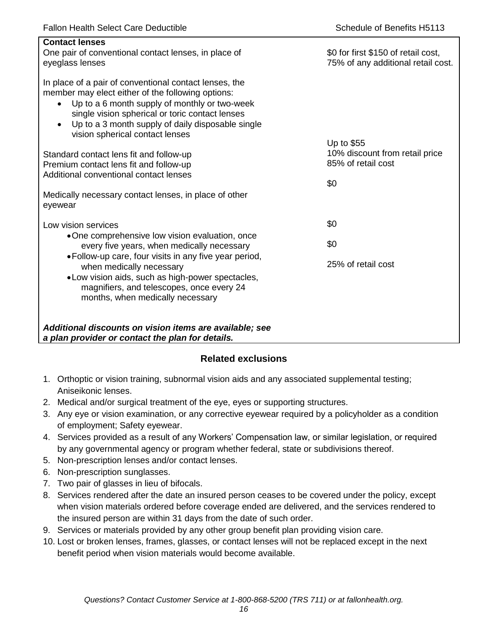| <b>Contact lenses</b><br>One pair of conventional contact lenses, in place of<br>eyeglass lenses                                                                                                                                                                                                                                  | \$0 for first \$150 of retail cost,<br>75% of any additional retail cost. |
|-----------------------------------------------------------------------------------------------------------------------------------------------------------------------------------------------------------------------------------------------------------------------------------------------------------------------------------|---------------------------------------------------------------------------|
| In place of a pair of conventional contact lenses, the<br>member may elect either of the following options:<br>Up to a 6 month supply of monthly or two-week<br>$\bullet$<br>single vision spherical or toric contact lenses<br>Up to a 3 month supply of daily disposable single<br>$\bullet$<br>vision spherical contact lenses |                                                                           |
| Standard contact lens fit and follow-up                                                                                                                                                                                                                                                                                           | Up to \$55<br>10% discount from retail price                              |
| Premium contact lens fit and follow-up                                                                                                                                                                                                                                                                                            | 85% of retail cost                                                        |
| Additional conventional contact lenses                                                                                                                                                                                                                                                                                            |                                                                           |
| Medically necessary contact lenses, in place of other<br>eyewear                                                                                                                                                                                                                                                                  | \$0                                                                       |
| Low vision services                                                                                                                                                                                                                                                                                                               | \$0                                                                       |
| •One comprehensive low vision evaluation, once<br>every five years, when medically necessary                                                                                                                                                                                                                                      | \$0                                                                       |
| • Follow-up care, four visits in any five year period,<br>when medically necessary<br>. Low vision aids, such as high-power spectacles,<br>magnifiers, and telescopes, once every 24<br>months, when medically necessary                                                                                                          | 25% of retail cost                                                        |
| Additional discounts on vision items are available; see<br>a plan provider or contact the plan for details.                                                                                                                                                                                                                       |                                                                           |

## **Related exclusions**

- 1. Orthoptic or vision training, subnormal vision aids and any associated supplemental testing; Aniseikonic lenses.
- 2. Medical and/or surgical treatment of the eye, eyes or supporting structures.
- 3. Any eye or vision examination, or any corrective eyewear required by a policyholder as a condition of employment; Safety eyewear.
- 4. Services provided as a result of any Workers' Compensation law, or similar legislation, or required by any governmental agency or program whether federal, state or subdivisions thereof.
- 5. Non-prescription lenses and/or contact lenses.
- 6. Non-prescription sunglasses.
- 7. Two pair of glasses in lieu of bifocals.
- 8. Services rendered after the date an insured person ceases to be covered under the policy, except when vision materials ordered before coverage ended are delivered, and the services rendered to the insured person are within 31 days from the date of such order.
- 9. Services or materials provided by any other group benefit plan providing vision care.
- 10. Lost or broken lenses, frames, glasses, or contact lenses will not be replaced except in the next benefit period when vision materials would become available.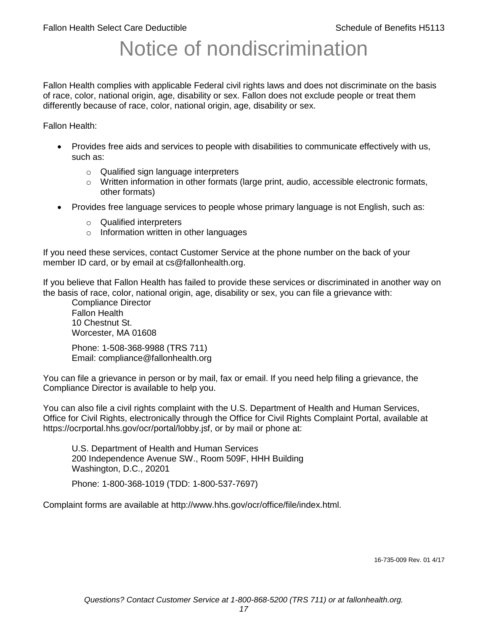# Notice of nondiscrimination

Fallon Health complies with applicable Federal civil rights laws and does not discriminate on the basis of race, color, national origin, age, disability or sex. Fallon does not exclude people or treat them differently because of race, color, national origin, age, disability or sex.

Fallon Health:

- Provides free aids and services to people with disabilities to communicate effectively with us, such as:
	- o Qualified sign language interpreters
	- $\circ$  Written information in other formats (large print, audio, accessible electronic formats, other formats)
- Provides free language services to people whose primary language is not English, such as:
	- o Qualified interpreters
	- o Information written in other languages

If you need these services, contact Customer Service at the phone number on the back of your member ID card, or by email at cs@fallonhealth.org.

If you believe that Fallon Health has failed to provide these services or discriminated in another way on the basis of race, color, national origin, age, disability or sex, you can file a grievance with:

Compliance Director Fallon Health 10 Chestnut St. Worcester, MA 01608

Phone: 1-508-368-9988 (TRS 711) Email: compliance@fallonhealth.org

You can file a grievance in person or by mail, fax or email. If you need help filing a grievance, the Compliance Director is available to help you.

You can also file a civil rights complaint with the U.S. Department of Health and Human Services, Office for Civil Rights, electronically through the Office for Civil Rights Complaint Portal, available at https://ocrportal.hhs.gov/ocr/portal/lobby.jsf, or by mail or phone at:

U.S. Department of Health and Human Services 200 Independence Avenue SW., Room 509F, HHH Building Washington, D.C., 20201

Phone: 1-800-368-1019 (TDD: 1-800-537-7697)

Complaint forms are available at http://www.hhs.gov/ocr/office/file/index.html.

16-735-009 Rev. 01 4/17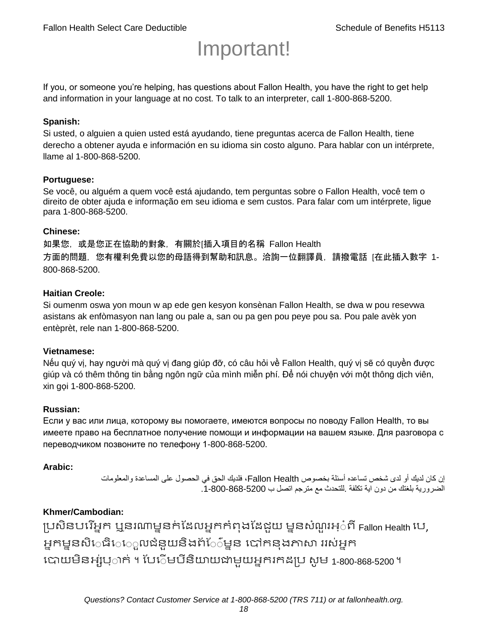# Important!

If you, or someone you're helping, has questions about Fallon Health, you have the right to get help and information in your language at no cost. To talk to an interpreter, call 1-800-868-5200.

#### **Spanish:**

Si usted, o alguien a quien usted está ayudando, tiene preguntas acerca de Fallon Health, tiene derecho a obtener ayuda e información en su idioma sin costo alguno. Para hablar con un intérprete, llame al 1-800-868-5200.

#### **Portuguese:**

Se você, ou alguém a quem você está ajudando, tem perguntas sobre o Fallon Health, você tem o direito de obter ajuda e informação em seu idioma e sem custos. Para falar com um intérprete, ligue para 1-800-868-5200.

#### **Chinese:**

如果您,或是您正在協助的對象,有關於[插入項目的名稱 Fallon Health 方面的問題, 您有權利免費以您的母語得到幫助和訊息。洽詢一位翻譯員, 請撥電話 [在此插入數字 1-800-868-5200.

#### **Haitian Creole:**

Si oumenm oswa yon moun w ap ede gen kesyon konsènan Fallon Health, se dwa w pou resevwa asistans ak enfòmasyon nan lang ou pale a, san ou pa gen pou peye pou sa. Pou pale avèk yon entèprèt, rele nan 1-800-868-5200.

#### **Vietnamese:**

Nếu quý vị, hay người mà quý vị đang giúp đỡ, có câu hỏi về Fallon Health, quý vị sẽ có quyền được giúp và có thêm thông tin bằng ngôn ngữ của mình miễn phí. Để nói chuyện với một thông dịch viên, xin gọi 1-800-868-5200.

#### **Russian:**

Если у вас или лица, которому вы помогаете, имеются вопросы по поводу Fallon Health, то вы имеете право на бесплатное получение помощи и информации на вашем языке. Для разговора с переводчиком позвоните по телефону 1-800-868-5200.

#### **Arabic:**

إن كان لديك أو لدى شخص تساعده أسئلة بخصوص Health Fallon، فلديك الحق في الحصول على المساعدة والمعلومات الضرورية بلغتك من دون اية تكلفة .للتحدث مع مترجم اتصل ب .1-800-868-5200

#### **Khmer/Cambodian:**

ប្រសិនបរើអ្នក ឬនរណាម្ននក់ដែលអ្នកកំពុងដែជយ ម្ននសំណួរអ្៎ពី Fallon Health រប, អ្នកម្ននសិេធិេ្រុលជំនួយនិងព័ែ៌ម្នន បៅកនុងភាសា ររស់អ្នក រោយម្ិនអ្ស់រ្ំ ក់ ។ ដររំម្ រនី ិយាយជាម្ួយអ្នក កែប្រ សូ ម្ 1-800-868-5200 ។